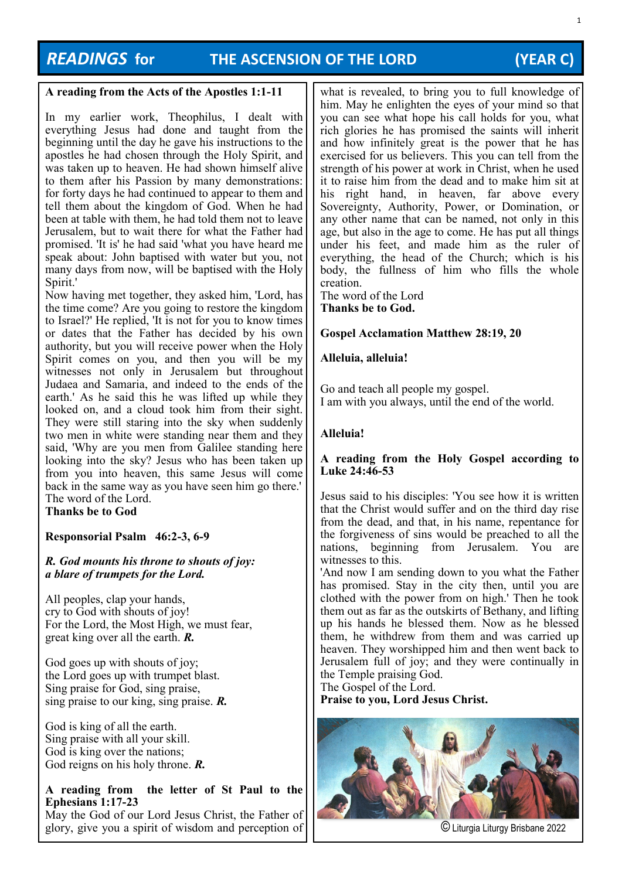### **A reading from the Acts of the Apostles 1:1-11**

In my earlier work, Theophilus, I dealt with everything Jesus had done and taught from the beginning until the day he gave his instructions to the apostles he had chosen through the Holy Spirit, and was taken up to heaven. He had shown himself alive to them after his Passion by many demonstrations: for forty days he had continued to appear to them and tell them about the kingdom of God. When he had been at table with them, he had told them not to leave Jerusalem, but to wait there for what the Father had promised. 'It is' he had said 'what you have heard me speak about: John baptised with water but you, not many days from now, will be baptised with the Holy Spirit.'

Now having met together, they asked him, 'Lord, has the time come? Are you going to restore the kingdom to Israel?' He replied, 'It is not for you to know times or dates that the Father has decided by his own authority, but you will receive power when the Holy Spirit comes on you, and then you will be my witnesses not only in Jerusalem but throughout Judaea and Samaria, and indeed to the ends of the earth.' As he said this he was lifted up while they looked on, and a cloud took him from their sight. They were still staring into the sky when suddenly two men in white were standing near them and they said, 'Why are you men from Galilee standing here looking into the sky? Jesus who has been taken up from you into heaven, this same Jesus will come back in the same way as you have seen him go there.' The word of the Lord. **Thanks be to God**

# **Responsorial Psalm 46:2-3, 6-9**

## *R. God mounts his throne to shouts of joy: a blare of trumpets for the Lord.*

All peoples, clap your hands, cry to God with shouts of joy! For the Lord, the Most High, we must fear, great king over all the earth. *R.*

God goes up with shouts of joy; the Lord goes up with trumpet blast. Sing praise for God, sing praise, sing praise to our king, sing praise. *R.*

God is king of all the earth. Sing praise with all your skill. God is king over the nations; God reigns on his holy throne. *R.*

# **A reading from the letter of St Paul to the Ephesians 1:17-23**

May the God of our Lord Jesus Christ, the Father of glory, give you a spirit of wisdom and perception of © Liturgia Liturgy Brisbane 2022

what is revealed, to bring you to full knowledge of him. May he enlighten the eyes of your mind so that you can see what hope his call holds for you, what rich glories he has promised the saints will inherit and how infinitely great is the power that he has exercised for us believers. This you can tell from the strength of his power at work in Christ, when he used it to raise him from the dead and to make him sit at his right hand, in heaven, far above every Sovereignty, Authority, Power, or Domination, or any other name that can be named, not only in this age, but also in the age to come. He has put all things under his feet, and made him as the ruler of everything, the head of the Church; which is his body, the fullness of him who fills the whole creation.

The word of the Lord **Thanks be to God.**

### **Gospel Acclamation Matthew 28:19, 20**

### **Alleluia, alleluia!**

Go and teach all people my gospel. I am with you always, until the end of the world.

### **Alleluia!**

### **A reading from the Holy Gospel according to Luke 24:46-53**

Jesus said to his disciples: 'You see how it is written that the Christ would suffer and on the third day rise from the dead, and that, in his name, repentance for the forgiveness of sins would be preached to all the nations, beginning from Jerusalem. You are witnesses to this.

'And now I am sending down to you what the Father has promised. Stay in the city then, until you are clothed with the power from on high.' Then he took them out as far as the outskirts of Bethany, and lifting up his hands he blessed them. Now as he blessed them, he withdrew from them and was carried up heaven. They worshipped him and then went back to Jerusalem full of joy; and they were continually in the Temple praising God.

The Gospel of the Lord.

**Praise to you, Lord Jesus Christ.**